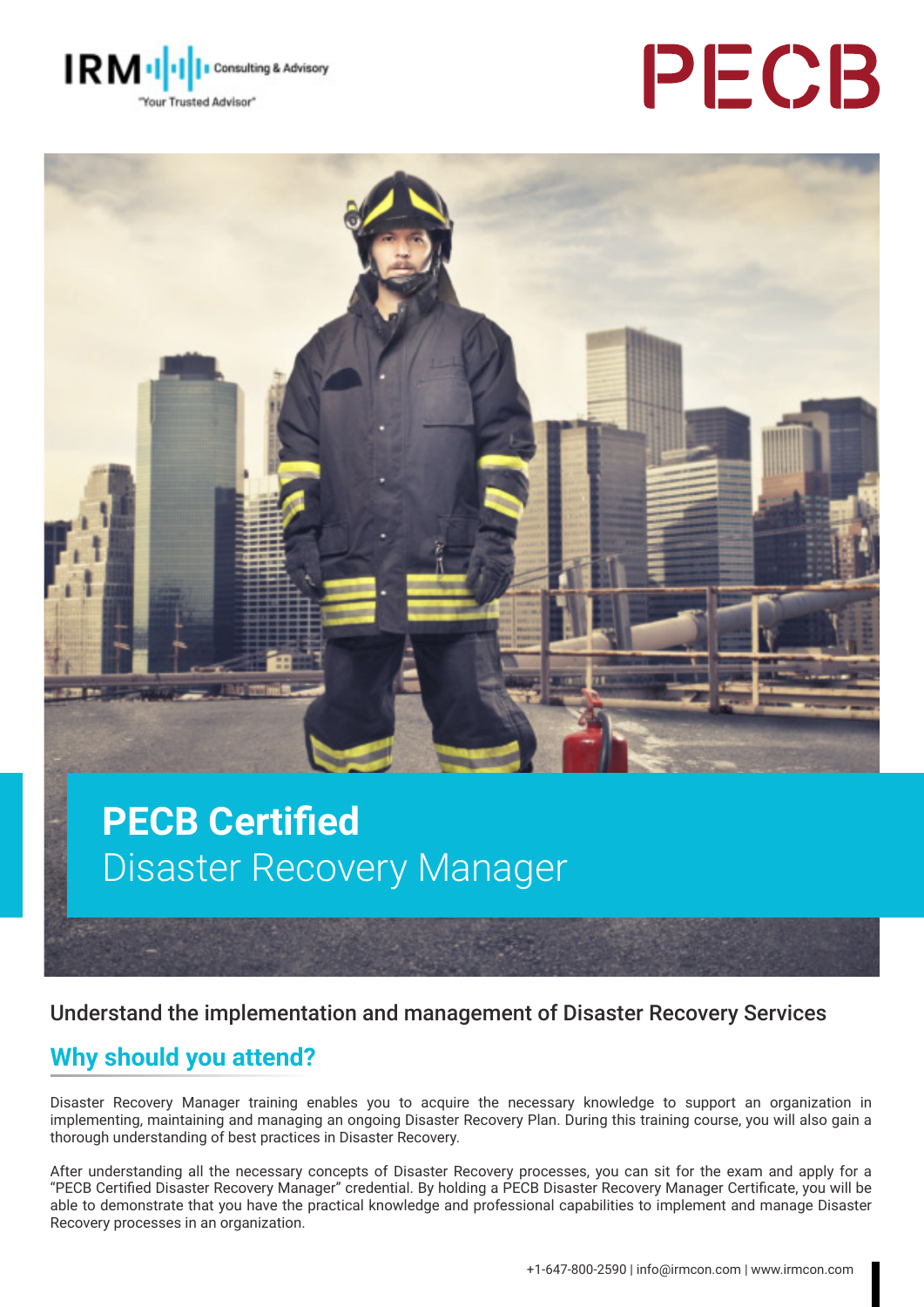





# **PECB Certified** Disaster Recovery Manager

Understand the implementation and management of Disaster Recovery Services

#### **Why should you attend?**

Disaster Recovery Manager training enables you to acquire the necessary knowledge to support an organization in implementing, maintaining and managing an ongoing Disaster Recovery Plan. During this training course, you will also gain a thorough understanding of best practices in Disaster Recovery.

After understanding all the necessary concepts of Disaster Recovery processes, you can sit for the exam and apply for a "PECB Certified Disaster Recovery Manager" credential. By holding a PECB Disaster Recovery Manager Certificate, you will be able to demonstrate that you have the practical knowledge and professional capabilities to implement and manage Disaster Recovery processes in an organization.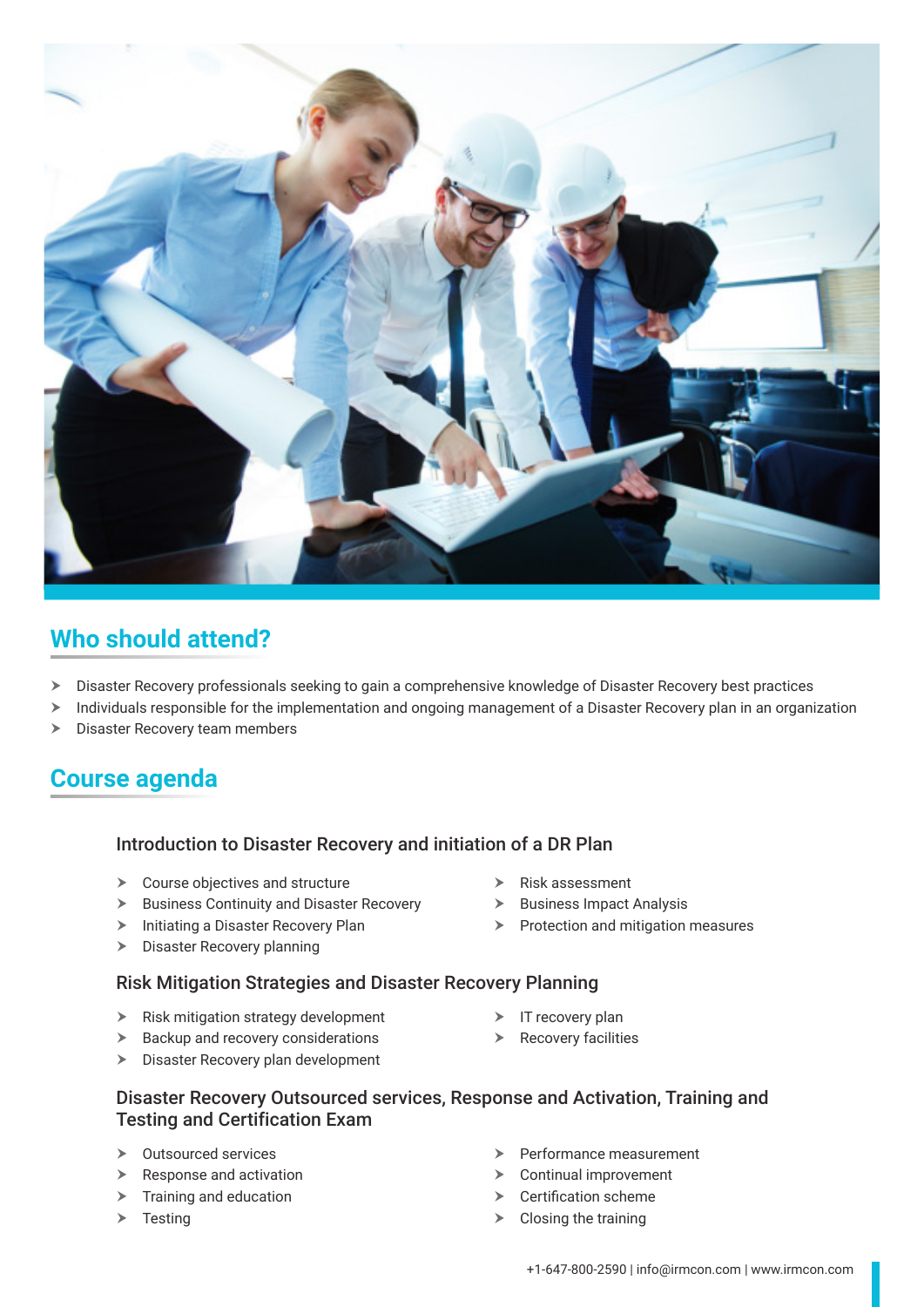

### **Who should attend?**

- $\triangleright$  Disaster Recovery professionals seeking to gain a comprehensive knowledge of Disaster Recovery best practices
- > Individuals responsible for the implementation and ongoing management of a Disaster Recovery plan in an organization
- $\blacktriangleright$  Disaster Recovery team members

#### **Course agenda**

#### **Introduction to Disaster Recovery and initiation of a DR Plan**

- $\triangleright$  Course objectives and structure
- $\triangleright$  Business Continuity and Disaster Recovery
- $\blacktriangleright$  Initiating a Disaster Recovery Plan
- $\triangleright$  Disaster Recovery planning

 $\triangleright$  Business Impact Analysis

 $\blacktriangleright$  Risk assessment

- **Day 2** Risk Mitigation Strategies and Disaster Recovery Planning
- $\blacktriangleright$  Risk mitigation strategy development
- $\blacktriangleright$  Backup and recovery considerations
- $\blacktriangleright$  Disaster Recovery plan development
- $\triangleright$  Protection and mitigation measures
- $\triangleright$  IT recovery plan
- $\triangleright$  Recovery facilities

#### **Disaster Recovery Outsourced services, Response and Activation, Training and** Testing and Certification Exam

- $\triangleright$  Outsourced services
- $\triangleright$  Response and activation
- $\blacktriangleright$  Training and education
- $\triangleright$  Testing
- Performance measurement
- $\triangleright$  Continual improvement
- $\triangleright$  Certification scheme
- $\triangleright$  Closing the training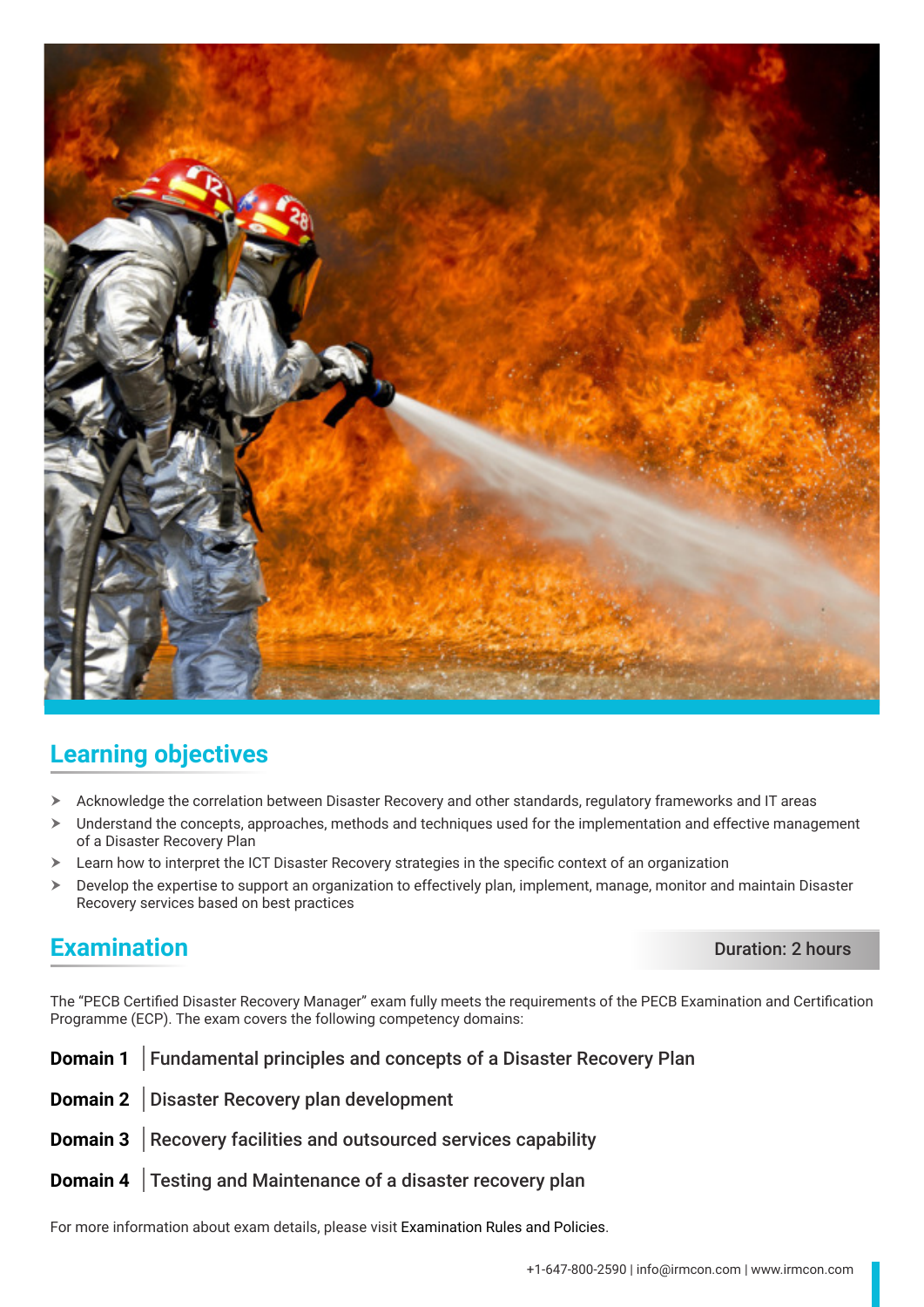

#### **Learning objectives**

- $\triangleright$  Acknowledge the correlation between Disaster Recovery and other standards, regulatory frameworks and IT areas
- $\triangleright$  Understand the concepts, approaches, methods and techniques used for the implementation and effective management of a Disaster Recovery Plan
- $\triangleright$  Learn how to interpret the ICT Disaster Recovery strategies in the specific context of an organization
- $\triangleright$  Develop the expertise to support an organization to effectively plan, implement, manage, monitor and maintain Disaster Recovery services based on best practices

#### **Examination** Duration: 2 hours

The "PECB Certified Disaster Recovery Manager" exam fully meets the requirements of the PECB Examination and Certification Programme (ECP). The exam covers the following competency domains:

| <b>Domain 1</b> Fundamental principles and concepts of a Disaster Recovery Plan |
|---------------------------------------------------------------------------------|
| Domain 2 Disaster Recovery plan development                                     |
| <b>Domain 3</b> Recovery facilities and outsourced services capability          |
| <b>Domain 4</b> Testing and Maintenance of a disaster recovery plan             |

For more information about exam details, please visit [Examination Rules and Policies](https://pecb.com/en/examination-rules-and-policies).